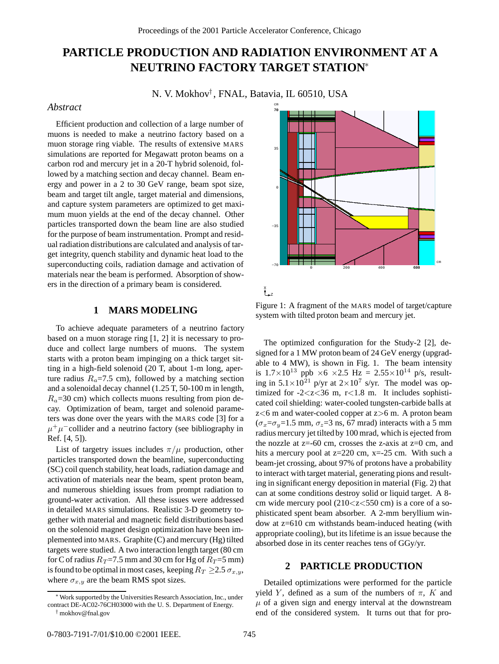# **PARTICLE PRODUCTION AND RADIATION ENVIRONMENT AT A NEUTRINO FACTORY TARGET STATION**<sup>∗</sup>

N. V. Mokhov† , FNAL, Batavia, IL 60510, USA

## *Abstract*

Efficient production and collection of a large number of muons is needed to make a neutrino factory based on a muon storage ring viable. The results of extensive MARS simulations are reported for Megawatt proton beams on a carbon rod and mercury jet in a 20-T hybrid solenoid, followed by a matching section and decay channel. Beam energy and power in a 2 to 30 GeV range, beam spot size, beam and target tilt angle, target material and dimensions, and capture system parameters are optimized to get maximum muon yields at the end of the decay channel. Other particles transported down the beam line are also studied for the purpose of beam instrumentation. Prompt and residual radiation distributionsare calculated and analysis of target integrity, quench stability and dynamic heat load to the superconducting coils, radiation damage and activation of materials near the beam is performed. Absorption of showers in the direction of a primary beam is considered.

## **1 MARS MODELING**

To achieve adequate parameters of a neutrino factory based on a muon storage ring [1, 2] it is necessary to produce and collect large numbers of muons. The system starts with a proton beam impinging on a thick target sitting in a high-field solenoid (20 T, about 1-m long, aperture radius  $R_a$ =7.5 cm), followed by a matching section and a solenoidal decay channel (1.25 T, 50-100 m in length,  $R_a$ =30 cm) which collects muons resulting from pion decay. Optimization of beam, target and solenoid parameters was done over the years with the MARS code [3] for a  $\mu^+\mu^-$ collider and a neutrino factory (see bibliography in Ref. [4, 5]).

List of targetry issues includes  $\pi/\mu$  production, other particles transported down the beamline, superconducting (SC) coil quench stability, heat loads, radiation damage and activation of materials near the beam, spent proton beam, and numerous shielding issues from prompt radiation to ground-water activation. All these issues were addressed in detailed MARS simulations. Realistic 3-D geometry together with material and magnetic field distributions based on the solenoid magnet design optimization have been implemented into MARS. Graphite (C) and mercury (Hg) tilted targets were studied. A two interaction length target (80 cm for C of radius  $R_T = 7.5$  mm and 30 cm for Hg of  $R_T = 5$  mm) is found to be optimal in most cases, keeping  $R_T \ge 2.5 \sigma_{x,y}$ , where  $\sigma_{x,y}$  are the beam RMS spot sizes.



Figure 1: A fragment of the MARS model of target/capture system with tilted proton beam and mercury jet.

The optimized configuration for the Study-2 [2], designed for a 1 MW proton beam of 24 GeV energy (upgradable to 4 MW), is shown in Fig. 1. The beam intensity is  $1.7 \times 10^{13}$  ppb  $\times 6 \times 2.5$  Hz =  $2.55 \times 10^{14}$  p/s, resulting in  $5.1 \times 10^{21}$  p/yr at  $2 \times 10^{7}$  s/yr. The model was optimized for -2<z<36 m,  $r<1.8$  m. It includes sophisticated coil shielding: water-cooled tungsten-carbide balls at  $z<6$  m and water-cooled copper at  $z>6$  m. A proton beam  $(\sigma_x = \sigma_y = 1.5$  mm,  $\sigma_z = 3$  ns, 67 mrad) interacts with a 5 mm radius mercury jet tilted by 100 mrad, which is ejected from the nozzle at  $z=60$  cm, crosses the z-axis at  $z=0$  cm, and hits a mercury pool at z=220 cm, x=-25 cm. With such a beam-jet crossing, about 97% of protons have a probability to interact with target material, generating pions and resulting in significant energy deposition in material (Fig. 2) that can at some conditions destroy solid or liquid target. A 8 cm wide mercury pool (210<z<550 cm) is a core of a sophisticated spent beam absorber. A 2-mm beryllium window at z=610 cm withstands beam-induced heating (with appropriate cooling), but its lifetime is an issue because the absorbed dose in its center reaches tens of GGy/yr.

# **2 PARTICLE PRODUCTION**

Detailed optimizations were performed for the particle yield Y, defined as a sum of the numbers of  $\pi$ , K and  $\mu$  of a given sign and energy interval at the downstream end of the considered system. It turns out that for pro-

<sup>∗</sup>Work supported by the Universities Research Association, Inc., under contract DE-AC02-76CH03000 with the U. S. Department of Energy. † mokhov@fnal.gov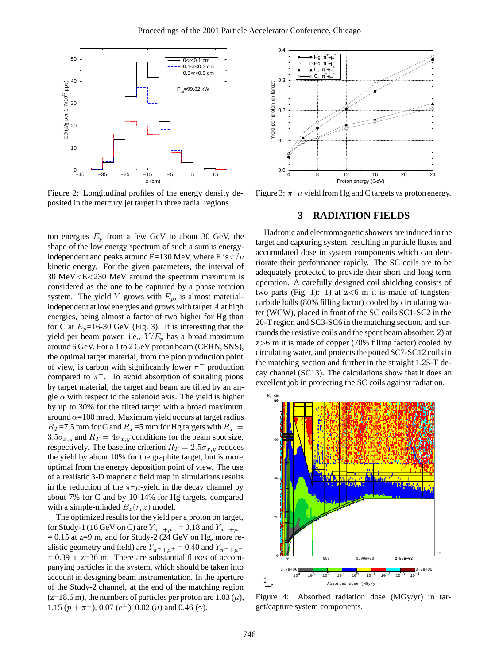

Figure 2: Longitudinal profiles of the energy density deposited in the mercury jet target in three radial regions.

ton energies  $E_p$  from a few GeV to about 30 GeV, the shape of the low energy spectrum of such a sum is energyindependent and peaks around E=130 MeV, where E is  $\pi/\mu$ kinetic energy. For the given parameters, the interval of 30 MeV<E<230 MeV around the spectrum maximum is considered as the one to be captured by a phase rotation system. The yield Y grows with  $E_p$ , is almost materialindependent at low energies and grows with target A at high energies, being almost a factor of two higher for Hg than for C at  $E_p$ =16-30 GeV (Fig. 3). It is interesting that the yield per beam power, i.e.,  $Y/E_p$  has a broad maximum around 6 GeV. For a 1 to 2 GeV proton beam (CERN, SNS), the optimal target material, from the pion production point of view, is carbon with significantly lower  $\pi^-$  production compared to  $\pi^+$ . To avoid absorption of spiraling pions by target material, the target and beam are tilted by an angle  $\alpha$  with respect to the solenoid axis. The yield is higher by up to 30% for the tilted target with a broad maximum around  $\alpha$ =100 mrad. Maximum yield occurs at target radius  $R_T$ =7.5 mm for C and  $R_T$ =5 mm for Hg targets with  $R_T$  =  $3.5\sigma_{x,y}$  and  $R_T = 4\sigma_{x,y}$  conditions for the beam spot size, respectively. The baseline criterion  $R_T = 2.5\sigma_{x,y}$  reduces the yield by about 10% for the graphite target, but is more optimal from the energy deposition point of view. The use of a realistic 3-D magnetic field map in simulations results in the reduction of the  $\pi+\mu$ -yield in the decay channel by about 7% for C and by 10-14% for Hg targets, compared with a simple-minded  $B_z(r, z)$  model.

The optimized results for the yield per a proton on target, for Study-1 (16 GeV on C) are  $Y_{\pi^+ + \mu^+} = 0.18$  and  $Y_{\pi^- + \mu^-}$  $= 0.15$  at z=9 m, and for Study-2 (24 GeV on Hg, more realistic geometry and field) are  $Y_{\pi^++\mu^+} = 0.40$  and  $Y_{\pi^-+\mu^-}$  $= 0.39$  at  $z=36$  m. There are substantial fluxes of accompanying particles in the system, which should be taken into account in designing beam instrumentation. In the aperture of the Study-2 channel, at the end of the matching region  $(z=18.6 \text{ m})$ , the numbers of particles per proton are  $1.03 \ (\mu)$ , 1.15  $(p + \pi^{\pm})$ , 0.07  $(e^{\pm})$ , 0.02  $(n)$  and 0.46  $(\gamma)$ .



Figure 3: π+µ yield from Hg and C targets *vs* protonenergy.

### **3 RADIATION FIELDS**

Hadronic and electromagnetic showers are induced in the target and capturing system, resulting in particle fluxes and accumulated dose in system components which can deteriorate their performance rapidly. The SC coils are to be adequately protected to provide their short and long term operation. A carefully designed coil shielding consists of two parts (Fig. 1): 1) at  $z \leq 6$  m it is made of tungstencarbide balls (80% filling factor) cooled by circulating water (WCW), placed in front of the SC coils SC1-SC2 in the 20-T region and SC3-SC6 in the matching section, and surrounds the resistive coils and the spent beam absorber; 2) at  $z>6$  m it is made of copper (70% filling factor) cooled by circulating water, and protects the potted SC7-SC12 coils in the matching section and further in the straight 1.25-T decay channel (SC13). The calculations show that it does an excellent job in protecting the SC coils against radiation.



Figure 4: Absorbed radiation dose (MGy/yr) in target/capture system components.